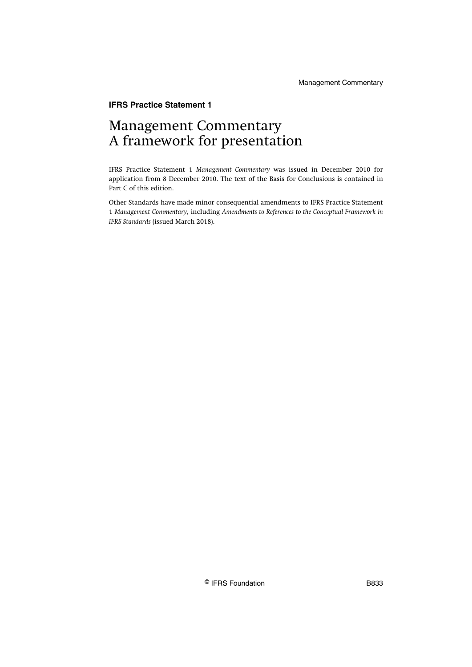# **IFRS Practice Statement 1**

# Management Commentary A framework for presentation

IFRS Practice Statement 1 *Management Commentary* was issued in December 2010 for application from 8 December 2010. The text of the Basis for Conclusions is contained in Part C of this edition.

Other Standards have made minor consequential amendments to IFRS Practice Statement 1 *Management Commentary*, including *Amendments to References to the Conceptual Framework in IFRS Standards* (issued March 2018).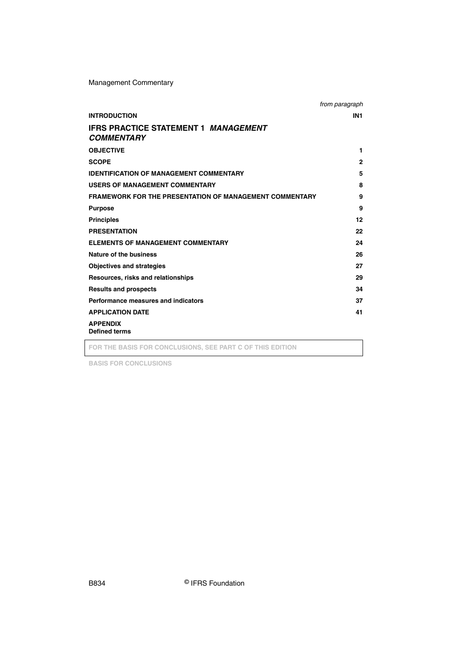|                                                                  | from paragraph  |
|------------------------------------------------------------------|-----------------|
| <b>INTRODUCTION</b>                                              | IN <sub>1</sub> |
| <b>IFRS PRACTICE STATEMENT 1 MANAGEMENT</b><br><b>COMMENTARY</b> |                 |
| <b>OBJECTIVE</b>                                                 | 1               |
| <b>SCOPE</b>                                                     | $\mathbf{2}$    |
| <b>IDENTIFICATION OF MANAGEMENT COMMENTARY</b>                   | 5               |
| <b>USERS OF MANAGEMENT COMMENTARY</b>                            | 8               |
| <b>FRAMEWORK FOR THE PRESENTATION OF MANAGEMENT COMMENTARY</b>   | 9               |
| <b>Purpose</b>                                                   | 9               |
| <b>Principles</b>                                                | 12              |
| <b>PRESENTATION</b>                                              | 22              |
| <b>ELEMENTS OF MANAGEMENT COMMENTARY</b>                         | 24              |
| Nature of the business                                           | 26              |
| <b>Objectives and strategies</b>                                 | 27              |
| Resources, risks and relationships                               | 29              |
| <b>Results and prospects</b>                                     | 34              |
| Performance measures and indicators                              | 37              |
| <b>APPLICATION DATE</b>                                          | 41              |
| <b>APPENDIX</b><br><b>Defined terms</b>                          |                 |
| FOR THE BASIS FOR CONCLUSIONS, SEE PART C OF THIS EDITION        |                 |

**BASIS FOR CONCLUSIONS**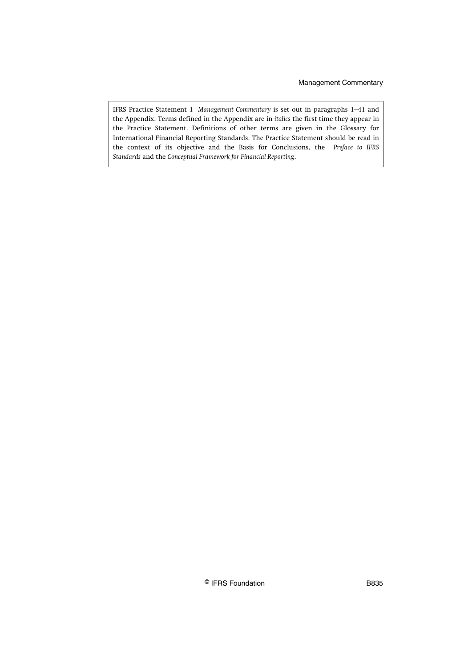IFRS Practice Statement 1 *Management Commentary* is set out in [paragraphs 1–41](#page-5-0) and the [Appendix](#page-13-0). Terms defined in the Appendix are in *italics* the first time they appear in the Practice Statement. Definitions of other terms are given in the Glossary for International Financial Reporting Standards. The Practice Statement should be read in the context of its [objective](#page-5-0) and the Basis for Conclusions, the *Preface to IFRS Standards* and the *Conceptual Framework for Financial Reporting*.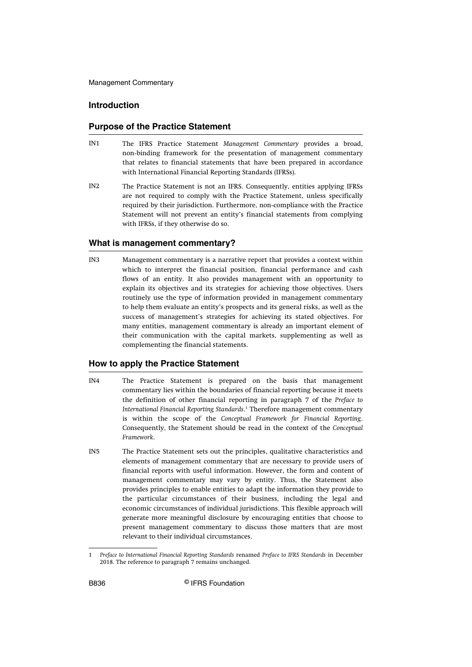# **Introduction**

# **Purpose of the Practice Statement**

- The IFRS Practice Statement *Management Commentary* provides a broad, non‑binding framework for the presentation of management commentary that relates to financial statements that have been prepared in accordance with International Financial Reporting Standards (IFRSs). IN1
- The Practice Statement is not an IFRS. Consequently, entities applying IFRSs are not required to comply with the Practice Statement, unless specifically required by their jurisdiction. Furthermore, non‑compliance with the Practice Statement will not prevent an entity's financial statements from complying with IFRSs, if they otherwise do so. IN2

# **What is management commentary?**

Management commentary is a narrative report that provides a context within which to interpret the financial position, financial performance and cash flows of an entity. It also provides management with an opportunity to explain its objectives and its strategies for achieving those objectives. Users routinely use the type of information provided in management commentary to help them evaluate an entity's prospects and its general risks, as well as the success of management's strategies for achieving its stated objectives. For many entities, management commentary is already an important element of their communication with the capital markets, supplementing as well as complementing the financial statements. IN3

# **How to apply the Practice Statement**

- The Practice Statement is prepared on the basis that management commentary lies within the boundaries of financial reporting because it meets the definition of other financial reporting in paragraph 7 of the *Preface to International Financial Reporting Standards*. <sup>1</sup> Therefore management commentary is within the scope of the *Conceptual Framework for Financial Reporting*. Consequently, the Statement should be read in the context of the *Conceptual Framework*. IN4
- The Practice Statement sets out the principles, qualitative characteristics and elements of management commentary that are necessary to provide users of financial reports with useful information. However, the form and content of management commentary may vary by entity. Thus, the Statement also provides principles to enable entities to adapt the information they provide to the particular circumstances of their business, including the legal and economic circumstances of individual jurisdictions. This flexible approach will generate more meaningful disclosure by encouraging entities that choose to present management commentary to discuss those matters that are most relevant to their individual circumstances. IN5

<sup>1</sup> *Preface to International Financial Reporting Standards* renamed *Preface to IFRS Standards* in December 2018. The reference to paragraph 7 remains unchanged.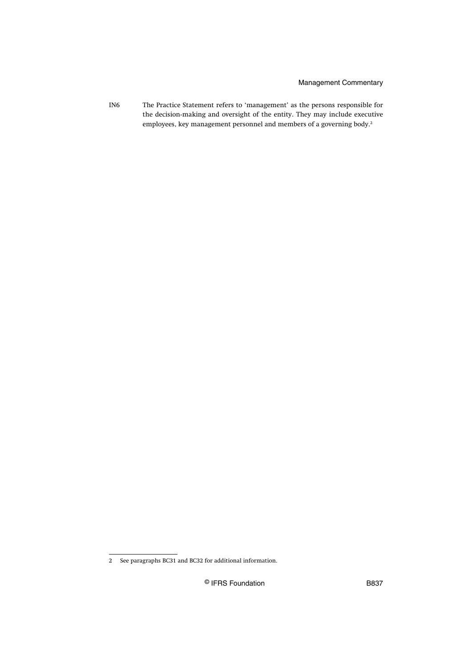The Practice Statement refers to 'management' as the persons responsible for the decision-making and oversight of the entity. They may include executive employees, key management personnel and members of a governing body.<sup>2</sup> IN6

<sup>2</sup> See paragraphs BC31 and BC32 for additional information.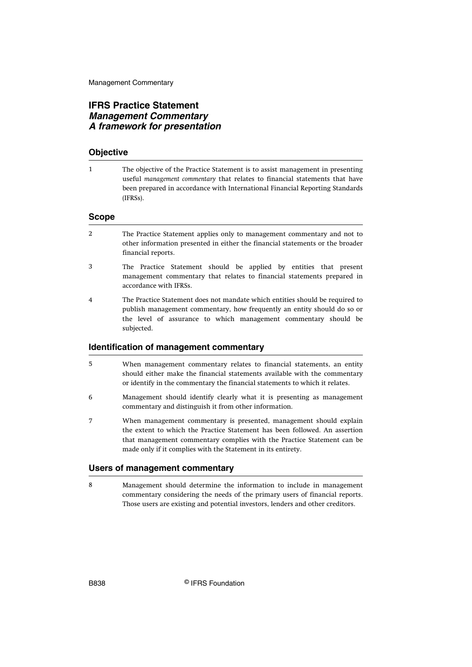# <span id="page-5-0"></span>**IFRS Practice Statement Management Commentary A framework for presentation**

# **Objective**

The objective of the Practice Statement is to assist management in presenting useful *management commentary* that relates to financial statements that have been prepared in accordance with International Financial Reporting Standards (IFRSs). 1

# **Scope**

- The Practice Statement applies only to management commentary and not to other information presented in either the financial statements or the broader financial reports. 2
- The Practice Statement should be applied by entities that present management commentary that relates to financial statements prepared in accordance with IFRSs. 3
- The Practice Statement does not mandate which entities should be required to publish management commentary, how frequently an entity should do so or the level of assurance to which management commentary should be subjected. 4

# **Identification of management commentary**

- When management commentary relates to financial statements, an entity should either make the financial statements available with the commentary or identify in the commentary the financial statements to which it relates. 5
- Management should identify clearly what it is presenting as management commentary and distinguish it from other information. 6
- When management commentary is presented, management should explain the extent to which the Practice Statement has been followed. An assertion that management commentary complies with the Practice Statement can be made only if it complies with the Statement in its entirety. 7

# **Users of management commentary**

Management should determine the information to include in management commentary considering the needs of the primary users of financial reports. Those users are existing and potential investors, lenders and other creditors. 8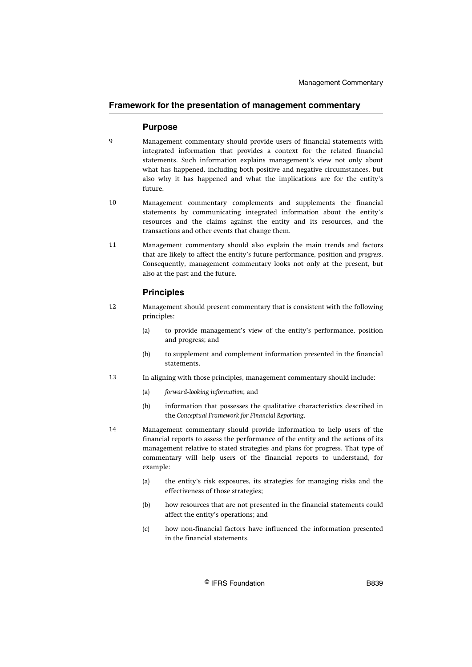# <span id="page-6-0"></span>**Framework for the presentation of management commentary**

### **Purpose**

- Management commentary should provide users of financial statements with integrated information that provides a context for the related financial statements. Such information explains management's view not only about what has happened, including both positive and negative circumstances, but also why it has happened and what the implications are for the entity's future. 9
- Management commentary complements and supplements the financial statements by communicating integrated information about the entity's resources and the claims against the entity and its resources, and the transactions and other events that change them. 10
- Management commentary should also explain the main trends and factors that are likely to affect the entity's future performance, position and *progress*. Consequently, management commentary looks not only at the present, but also at the past and the future. 11

# **Principles**

- Management should present commentary that is consistent with the following principles: 12
	- (a) to provide management's view of the entity's performance, position and progress; and
	- (b) to supplement and complement information presented in the financial statements.
- In aligning with those principles, management commentary should include: 13
	- (a) *forward‑looking information*; and
	- (b) information that possesses the qualitative characteristics described in the *Conceptual Framework for Financial Reporting*.
- Management commentary should provide information to help users of the financial reports to assess the performance of the entity and the actions of its management relative to stated strategies and plans for progress. That type of commentary will help users of the financial reports to understand, for example: 14
	- (a) the entity's risk exposures, its strategies for managing risks and the effectiveness of those strategies;
	- (b) how resources that are not presented in the financial statements could affect the entity's operations; and
	- (c) how non‑financial factors have influenced the information presented in the financial statements.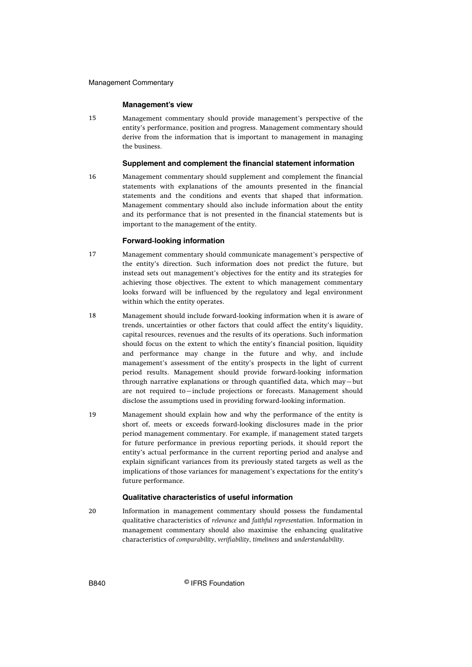#### **Management's view**

Management commentary should provide management's perspective of the entity's performance, position and progress. Management commentary should derive from the information that is important to management in managing the business. 15

#### **Supplement and complement the financial statement information**

Management commentary should supplement and complement the financial statements with explanations of the amounts presented in the financial statements and the conditions and events that shaped that information. Management commentary should also include information about the entity and its performance that is not presented in the financial statements but is important to the management of the entity. 16

### **Forward‑looking information**

- Management commentary should communicate management's perspective of the entity's direction. Such information does not predict the future, but instead sets out management's objectives for the entity and its strategies for achieving those objectives. The extent to which management commentary looks forward will be influenced by the regulatory and legal environment within which the entity operates. 17
- Management should include forward‑looking information when it is aware of trends, uncertainties or other factors that could affect the entity's liquidity, capital resources, revenues and the results of its operations. Such information should focus on the extent to which the entity's financial position, liquidity and performance may change in the future and why, and include management's assessment of the entity's prospects in the light of current period results. Management should provide forward‑looking information through narrative explanations or through quantified data, which may—but are not required to—include projections or forecasts. Management should disclose the assumptions used in providing forward‑looking information. 18
- Management should explain how and why the performance of the entity is short of, meets or exceeds forward‑looking disclosures made in the prior period management commentary. For example, if management stated targets for future performance in previous reporting periods, it should report the entity's actual performance in the current reporting period and analyse and explain significant variances from its previously stated targets as well as the implications of those variances for management's expectations for the entity's future performance. 19

#### **Qualitative characteristics of useful information**

Information in management commentary should possess the fundamental qualitative characteristics of *relevance* and *faithful representation*. Information in management commentary should also maximise the enhancing qualitative characteristics of *comparability*, *verifiability*, *timeliness* and *understandability*. 20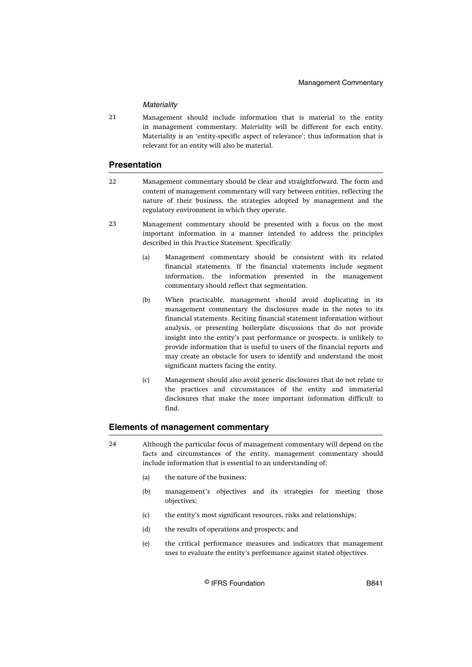**Materiality** 

<span id="page-8-0"></span>Management should include information that is material to the entity in management commentary. *Materiality* will be different for each entity. Materiality is an 'entity-specific aspect of relevance'; thus information that is relevant for an entity will also be material. 21

#### **Presentation**

- Management commentary should be clear and straightforward. The form and content of management commentary will vary between entities, reflecting the nature of their business, the strategies adopted by management and the regulatory environment in which they operate.  $22$
- Management commentary should be presented with a focus on the most important information in a manner intended to address the principles described in this Practice Statement. Specifically:  $23$ 
	- (a) Management commentary should be consistent with its related financial statements. If the financial statements include segment information, the information presented in the management commentary should reflect that segmentation.
	- (b) When practicable, management should avoid duplicating in its management commentary the disclosures made in the notes to its financial statements. Reciting financial statement information without analysis, or presenting boilerplate discussions that do not provide insight into the entity's past performance or prospects, is unlikely to provide information that is useful to users of the financial reports and may create an obstacle for users to identify and understand the most significant matters facing the entity.
	- (c) Management should also avoid generic disclosures that do not relate to the practices and circumstances of the entity and immaterial disclosures that make the more important information difficult to find.

# **Elements of management commentary**

- Although the particular focus of management commentary will depend on the facts and circumstances of the entity, management commentary should include information that is essential to an understanding of:  $24$ 
	- (a) the nature of the business;
	- (b) management's objectives and its strategies for meeting those objectives;
	- (c) the entity's most significant resources, risks and relationships;
	- (d) the results of operations and prospects; and
	- (e) the critical performance measures and indicators that management uses to evaluate the entity's performance against stated objectives.

© IFRS Foundation B841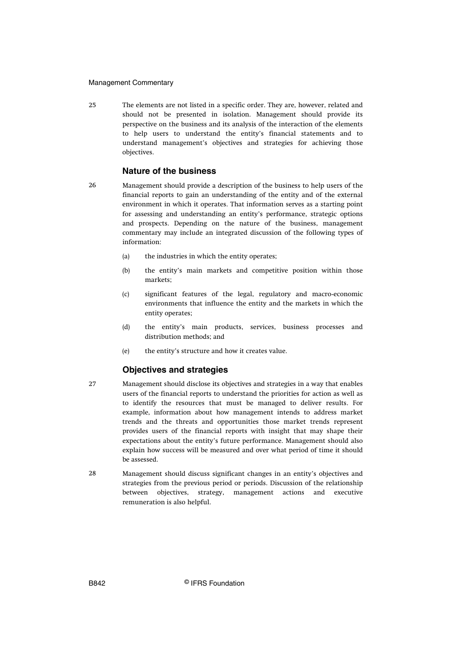<span id="page-9-0"></span>The elements are not listed in a specific order. They are, however, related and should not be presented in isolation. Management should provide its perspective on the business and its analysis of the interaction of the elements to help users to understand the entity's financial statements and to understand management's objectives and strategies for achieving those objectives. 25

# **Nature of the business**

- Management should provide a description of the business to help users of the financial reports to gain an understanding of the entity and of the external environment in which it operates. That information serves as a starting point for assessing and understanding an entity's performance, strategic options and prospects. Depending on the nature of the business, management commentary may include an integrated discussion of the following types of information: 26
	- (a) the industries in which the entity operates;
	- (b) the entity's main markets and competitive position within those markets;
	- (c) significant features of the legal, regulatory and macro‑economic environments that influence the entity and the markets in which the entity operates;
	- (d) the entity's main products, services, business processes and distribution methods; and
	- (e) the entity's structure and how it creates value.

# **Objectives and strategies**

- Management should disclose its objectives and strategies in a way that enables users of the financial reports to understand the priorities for action as well as to identify the resources that must be managed to deliver results. For example, information about how management intends to address market trends and the threats and opportunities those market trends represent provides users of the financial reports with insight that may shape their expectations about the entity's future performance. Management should also explain how success will be measured and over what period of time it should be assessed. 27
- Management should discuss significant changes in an entity's objectives and strategies from the previous period or periods. Discussion of the relationship between objectives, strategy, management actions and executive remuneration is also helpful. 28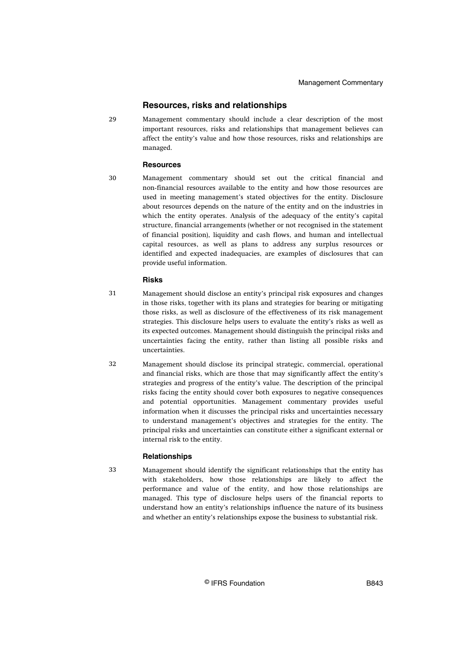# **Resources, risks and relationships**

Management commentary should include a clear description of the most important resources, risks and relationships that management believes can affect the entity's value and how those resources, risks and relationships are managed.

#### **Resources**

<span id="page-10-0"></span>29

Management commentary should set out the critical financial and non‑financial resources available to the entity and how those resources are used in meeting management's stated objectives for the entity. Disclosure about resources depends on the nature of the entity and on the industries in which the entity operates. Analysis of the adequacy of the entity's capital structure, financial arrangements (whether or not recognised in the statement of financial position), liquidity and cash flows, and human and intellectual capital resources, as well as plans to address any surplus resources or identified and expected inadequacies, are examples of disclosures that can provide useful information. 30

#### **Risks**

- Management should disclose an entity's principal risk exposures and changes in those risks, together with its plans and strategies for bearing or mitigating those risks, as well as disclosure of the effectiveness of its risk management strategies. This disclosure helps users to evaluate the entity's risks as well as its expected outcomes. Management should distinguish the principal risks and uncertainties facing the entity, rather than listing all possible risks and uncertainties. 31
- Management should disclose its principal strategic, commercial, operational and financial risks, which are those that may significantly affect the entity's strategies and progress of the entity's value. The description of the principal risks facing the entity should cover both exposures to negative consequences and potential opportunities. Management commentary provides useful information when it discusses the principal risks and uncertainties necessary to understand management's objectives and strategies for the entity. The principal risks and uncertainties can constitute either a significant external or internal risk to the entity. 32

# **Relationships**

- Management should identify the significant relationships that the entity has with stakeholders, how those relationships are likely to affect the performance and value of the entity, and how those relationships are managed. This type of disclosure helps users of the financial reports to understand how an entity's relationships influence the nature of its business and whether an entity's relationships expose the business to substantial risk.
- 33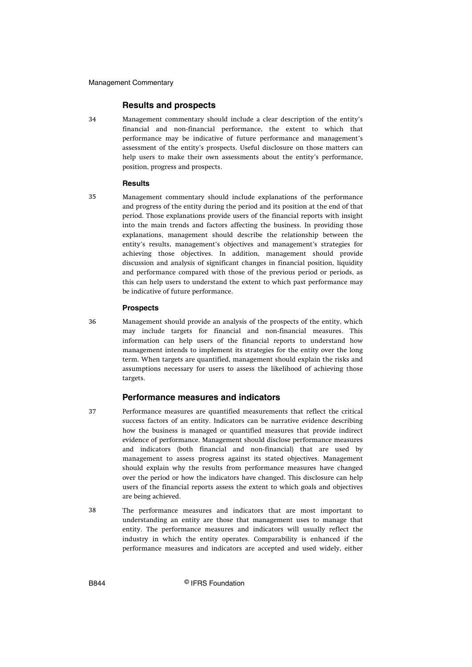### **Results and prospects**

<span id="page-11-0"></span>Management commentary should include a clear description of the entity's financial and non-financial performance, the extent to which that performance may be indicative of future performance and management's assessment of the entity's prospects. Useful disclosure on those matters can help users to make their own assessments about the entity's performance, position, progress and prospects. 34

# **Results**

- 35
- Management commentary should include explanations of the performance and progress of the entity during the period and its position at the end of that period. Those explanations provide users of the financial reports with insight into the main trends and factors affecting the business. In providing those explanations, management should describe the relationship between the entity's results, management's objectives and management's strategies for achieving those objectives. In addition, management should provide discussion and analysis of significant changes in financial position, liquidity and performance compared with those of the previous period or periods, as this can help users to understand the extent to which past performance may be indicative of future performance.

#### **Prospects**

36

Management should provide an analysis of the prospects of the entity, which may include targets for financial and non-financial measures. This information can help users of the financial reports to understand how management intends to implement its strategies for the entity over the long term. When targets are quantified, management should explain the risks and assumptions necessary for users to assess the likelihood of achieving those targets.

# **Performance measures and indicators**

- Performance measures are quantified measurements that reflect the critical success factors of an entity. Indicators can be narrative evidence describing how the business is managed or quantified measures that provide indirect evidence of performance. Management should disclose performance measures and indicators (both financial and non‑financial) that are used by management to assess progress against its stated objectives. Management should explain why the results from performance measures have changed over the period or how the indicators have changed. This disclosure can help users of the financial reports assess the extent to which goals and objectives are being achieved. 37
- The performance measures and indicators that are most important to understanding an entity are those that management uses to manage that entity. The performance measures and indicators will usually reflect the industry in which the entity operates. Comparability is enhanced if the performance measures and indicators are accepted and used widely, either 38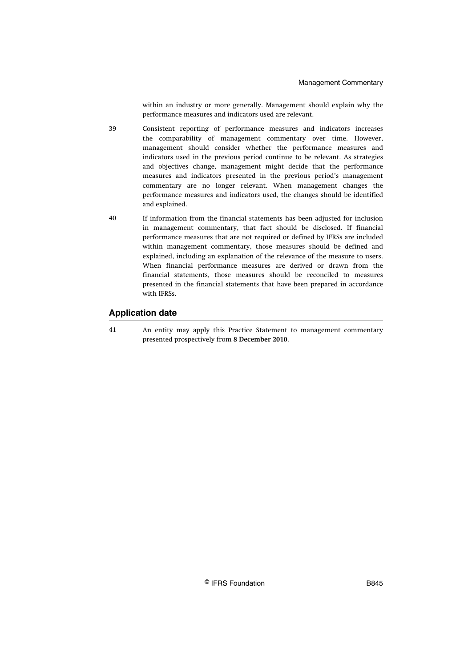within an industry or more generally. Management should explain why the performance measures and indicators used are relevant.

- <span id="page-12-0"></span>Consistent reporting of performance measures and indicators increases the comparability of management commentary over time. However, management should consider whether the performance measures and indicators used in the previous period continue to be relevant. As strategies and objectives change, management might decide that the performance measures and indicators presented in the previous period's management commentary are no longer relevant. When management changes the performance measures and indicators used, the changes should be identified and explained. 39
- If information from the financial statements has been adjusted for inclusion in management commentary, that fact should be disclosed. If financial performance measures that are not required or defined by IFRSs are included within management commentary, those measures should be defined and explained, including an explanation of the relevance of the measure to users. When financial performance measures are derived or drawn from the financial statements, those measures should be reconciled to measures presented in the financial statements that have been prepared in accordance with IFRSs. 40

# **Application date**

An entity may apply this Practice Statement to management commentary presented prospectively from **8 December 2010**. 41